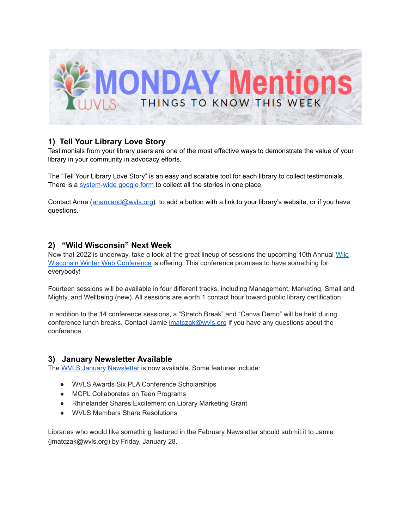

## **1) Tell Your Library Love Story**

Testimonials from your library users are one of the most effective ways to demonstrate the value of your library in your community in advocacy efforts.

The "Tell Your Library Love Story" is an easy and scalable tool for each library to collect testimonials. There is a [system-wide](https://docs.google.com/forms/d/e/1FAIpQLSfPh60D9v_ixdHb0-eTdx5bHX9Dk3n2cZB5eA67PKYmKQwPdA/viewform?usp=sf_link) google form to collect all the stories in one place.

Contact Anne ([ahamland@wvls.org](mailto:ahamland@wvls.org)) to add a button with a link to your library's website, or if you have questions.

#### **2) "Wild Wisconsin" Next Week**

Now that 2022 is underway, take a look at the great lineup of sessions the upcoming 10th Annual [Wild](https://www.wildwiscwinterweb.com/) Wisconsin Winter Web [Conference](https://www.wildwiscwinterweb.com/) is offering. This conference promises to have something for everybody!

Fourteen sessions will be available in four different tracks, including Management, Marketing, Small and Mighty, and Wellbeing (new). All sessions are worth 1 contact hour toward public library certification.

In addition to the 14 conference sessions, a "Stretch Break" and "Canva Demo" will be held during conference lunch breaks. Contact Jamie *imatczak@wvls.org* if you have any questions about the conference.

#### **3) January Newsletter Available**

The WVLS January [Newsletter](https://mailchi.mp/8dfc9c7dcf0d/wvls-january22-newsletter) is now available. Some features include:

- WVLS Awards Six PLA Conference Scholarships
- MCPL Collaborates on Teen Programs
- Rhinelander Shares Excitement on Library Marketing Grant
- WVLS Members Share Resolutions

Libraries who would like something featured in the February Newsletter should submit it to Jamie (jmatczak@wvls.org) by Friday, January 28.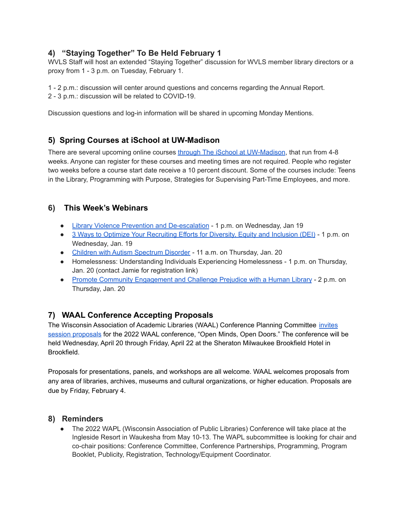# **4) "Staying Together" To Be Held February 1**

WVLS Staff will host an extended "Staying Together" discussion for WVLS member library directors or a proxy from 1 - 3 p.m. on Tuesday, February 1.

1 - 2 p.m.: discussion will center around questions and concerns regarding the Annual Report. 2 - 3 p.m.: discussion will be related to COVID-19.

Discussion questions and log-in information will be shared in upcoming Monday Mentions.

## **5) Spring Courses at iSchool at UW-Madison**

There are several upcoming online courses through The *iSchool at [UW-Madison](https://ischool.wisc.edu/continuing-education)*, that run from 4-8 weeks. Anyone can register for these courses and meeting times are not required. People who register two weeks before a course start date receive a 10 percent discount. Some of the courses include: Teens in the Library, Programming with Purpose, Strategies for Supervising Part-Time Employees, and more.

## **6) This Week's Webinars**

- Library Violence Prevention and [De-escalation](https://www.nicheacademy.com/library-violence-prevention-and-deescalation) 1 p.m. on Wednesday, Jan 19
- 3 Ways to Optimize Your [Recruiting](https://event.on24.com/wcc/r/3580640/43A520CF77362B012CA97A2BF32E3FFE?partnerref=DASiteListing) Efforts for Diversity, Equity and Inclusion (DEI) 1 p.m. on Wednesday, Jan. 19
- Children with Autism [Spectrum](https://ablenetinc.zoom.us/webinar/register/WN_fx3WOttdT2iCOUwwDzLnGg) Disorder 11 a.m. on Thursday, Jan. 20
- Homelessness: Understanding Individuals Experiencing Homelessness 1 p.m. on Thursday, Jan. 20 (contact Jamie for registration link)
- Promote Community [Engagement](https://oclcwebinar.webex.com/mw3300/mywebex/default.do?nomenu=true&siteurl=oclcwebinar&service=6&rnd=0.5063459989212459&main_url=https%3A%2F%2Foclcwebinar.webex.com%2Fec3300%2Feventcenter%2Fevent%2FeventAction.do%3FtheAction%3Ddetail%26%26%26EMK%3D4832534b0000000547a03699b4cf9c3fc3303de55e59670584921f6056900bdc8725e389a1b790f1%26siteurl%3Doclcwebinar%26confViewID%3D211188366948970149%26encryptTicket%3DSDJTSwAAAAXtEbzP971eDSHGyG9PSJpLvUQU2YLy4a-ZwbHkjUQNGw2%26) and Challenge Prejudice with a Human Library 2 p.m. on Thursday, Jan. 20

# **7) WAAL Conference Accepting Proposals**

The Wisconsin Association of Academic Libraries (WAAL) Conference Planning Committee [invites](https://docs.google.com/forms/d/e/1FAIpQLSc0WfVYN8KlfDZVrh0eeil-E3irhXomMnORAwZ8kFRmMWAUXA/viewform) session [proposals](https://docs.google.com/forms/d/e/1FAIpQLSc0WfVYN8KlfDZVrh0eeil-E3irhXomMnORAwZ8kFRmMWAUXA/viewform) for the 2022 WAAL conference, "Open Minds, Open Doors." The conference will be held Wednesday, April 20 through Friday, April 22 at the Sheraton Milwaukee Brookfield Hotel in Brookfield.

Proposals for presentations, panels, and workshops are all welcome. WAAL welcomes proposals from any area of libraries, archives, museums and cultural organizations, or higher education. Proposals are due by Friday, February 4.

#### **8) Reminders**

• The 2022 WAPL (Wisconsin Association of Public Libraries) Conference will take place at the Ingleside Resort in Waukesha from May 10-13. The WAPL subcommittee is looking for chair and co-chair positions: Conference Committee, Conference Partnerships, Programming, Program Booklet, Publicity, Registration, Technology/Equipment Coordinator.